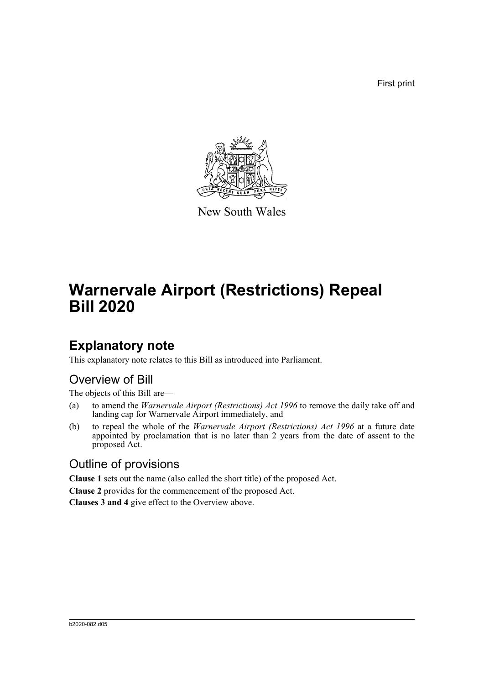First print



New South Wales

# **Warnervale Airport (Restrictions) Repeal Bill 2020**

### **Explanatory note**

This explanatory note relates to this Bill as introduced into Parliament.

#### Overview of Bill

The objects of this Bill are—

- (a) to amend the *Warnervale Airport (Restrictions) Act 1996* to remove the daily take off and landing cap for Warnervale Airport immediately, and
- (b) to repeal the whole of the *Warnervale Airport (Restrictions) Act 1996* at a future date appointed by proclamation that is no later than 2 years from the date of assent to the proposed Act.

#### Outline of provisions

**Clause 1** sets out the name (also called the short title) of the proposed Act.

**Clause 2** provides for the commencement of the proposed Act.

**Clauses 3 and 4** give effect to the Overview above.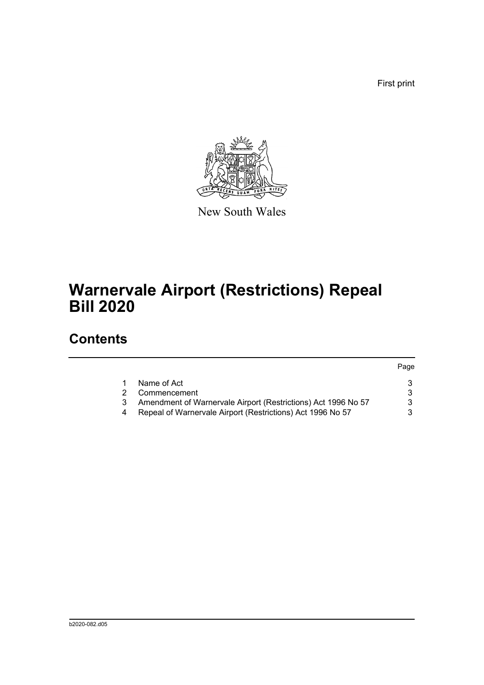First print



New South Wales

# **Warnervale Airport (Restrictions) Repeal Bill 2020**

## **Contents**

|                                                               | Page |
|---------------------------------------------------------------|------|
| Name of Act                                                   |      |
| Commencement                                                  |      |
| Amendment of Warnervale Airport (Restrictions) Act 1996 No 57 |      |
| Repeal of Warnervale Airport (Restrictions) Act 1996 No 57    |      |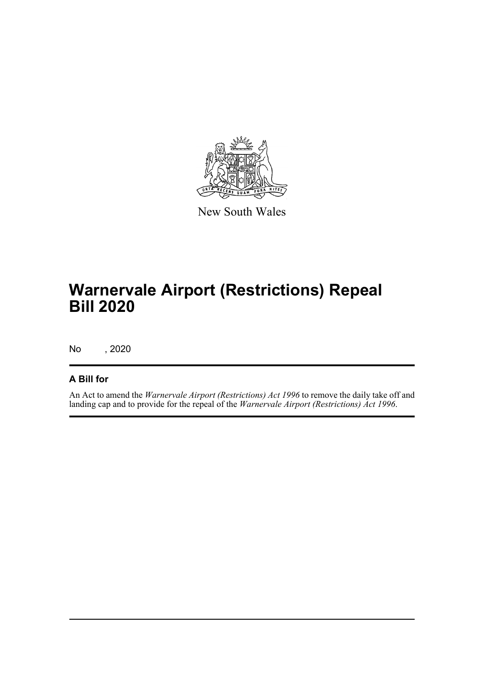

New South Wales

# **Warnervale Airport (Restrictions) Repeal Bill 2020**

No , 2020

#### **A Bill for**

An Act to amend the *Warnervale Airport (Restrictions) Act 1996* to remove the daily take off and landing cap and to provide for the repeal of the *Warnervale Airport (Restrictions) Act 1996*.